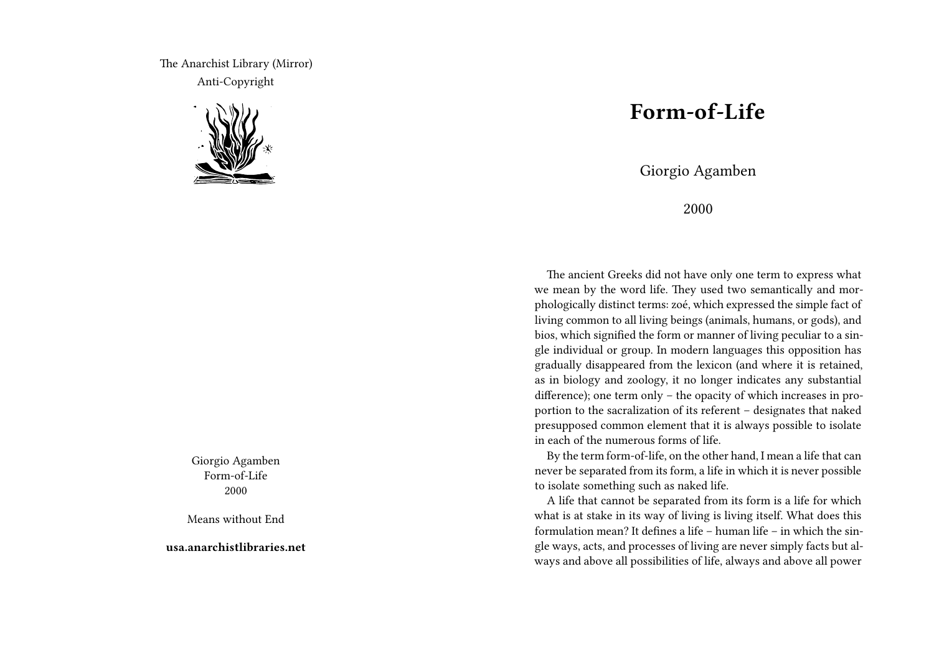The Anarchist Library (Mirror) Anti-Copyright



Giorgio Agamben Form-of-Life 2000

Means without End

**usa.anarchistlibraries.net**

## **Form-of-Life**

Giorgio Agamben

2000

The ancient Greeks did not have only one term to express what we mean by the word life. They used two semantically and morphologically distinct terms: zoé, which expressed the simple fact of living common to all living beings (animals, humans, or gods), and bios, which signified the form or manner of living peculiar to a single individual or group. In modern languages this opposition has gradually disappeared from the lexicon (and where it is retained, as in biology and zoology, it no longer indicates any substantial difference); one term only – the opacity of which increases in proportion to the sacralization of its referent – designates that naked presupposed common element that it is always possible to isolate in each of the numerous forms of life.

By the term form-of-life, on the other hand, I mean a life that can never be separated from its form, a life in which it is never possible to isolate something such as naked life.

A life that cannot be separated from its form is a life for which what is at stake in its way of living is living itself. What does this formulation mean? It defines a life – human life – in which the single ways, acts, and processes of living are never simply facts but always and above all possibilities of life, always and above all power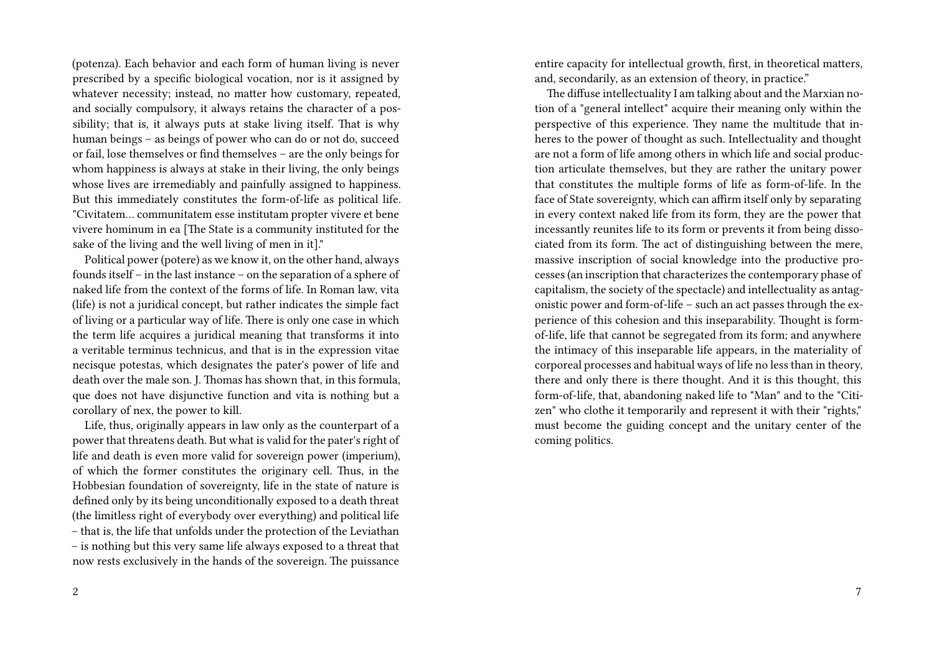(potenza). Each behavior and each form of human living is never prescribed by a specific biological vocation, nor is it assigned by whatever necessity; instead, no matter how customary, repeated, and socially compulsory, it always retains the character of a possibility; that is, it always puts at stake living itself. That is why human beings – as beings of power who can do or not do, succeed or fail, lose themselves or find themselves – are the only beings for whom happiness is always at stake in their living, the only beings whose lives are irremediably and painfully assigned to happiness. But this immediately constitutes the form-of-life as political life. "Civitatem… communitatem esse institutam propter vivere et bene vivere hominum in ea [The State is a community instituted for the sake of the living and the well living of men in it]."

Political power (potere) as we know it, on the other hand, always founds itself – in the last instance – on the separation of a sphere of naked life from the context of the forms of life. In Roman law, vita (life) is not a juridical concept, but rather indicates the simple fact of living or a particular way of life. There is only one case in which the term life acquires a juridical meaning that transforms it into a veritable terminus technicus, and that is in the expression vitae necisque potestas, which designates the pater's power of life and death over the male son. J. Thomas has shown that, in this formula, que does not have disjunctive function and vita is nothing but a corollary of nex, the power to kill.

Life, thus, originally appears in law only as the counterpart of a power that threatens death. But what is valid for the pater's right of life and death is even more valid for sovereign power (imperium), of which the former constitutes the originary cell. Thus, in the Hobbesian foundation of sovereignty, life in the state of nature is defined only by its being unconditionally exposed to a death threat (the limitless right of everybody over everything) and political life – that is, the life that unfolds under the protection of the Leviathan – is nothing but this very same life always exposed to a threat that now rests exclusively in the hands of the sovereign. The puissance

2

entire capacity for intellectual growth, first, in theoretical matters, and, secondarily, as an extension of theory, in practice."

The diffuse intellectuality I am talking about and the Marxian notion of a "general intellect" acquire their meaning only within the perspective of this experience. They name the multitude that inheres to the power of thought as such. Intellectuality and thought are not a form of life among others in which life and social production articulate themselves, but they are rather the unitary power that constitutes the multiple forms of life as form-of-life. In the face of State sovereignty, which can affirm itself only by separating in every context naked life from its form, they are the power that incessantly reunites life to its form or prevents it from being dissociated from its form. The act of distinguishing between the mere, massive inscription of social knowledge into the productive processes (an inscription that characterizes the contemporary phase of capitalism, the society of the spectacle) and intellectuality as antagonistic power and form-of-life – such an act passes through the experience of this cohesion and this inseparability. Thought is formof-life, life that cannot be segregated from its form; and anywhere the intimacy of this inseparable life appears, in the materiality of corporeal processes and habitual ways of life no less than in theory, there and only there is there thought. And it is this thought, this form-of-life, that, abandoning naked life to "Man" and to the "Citizen" who clothe it temporarily and represent it with their "rights," must become the guiding concept and the unitary center of the coming politics.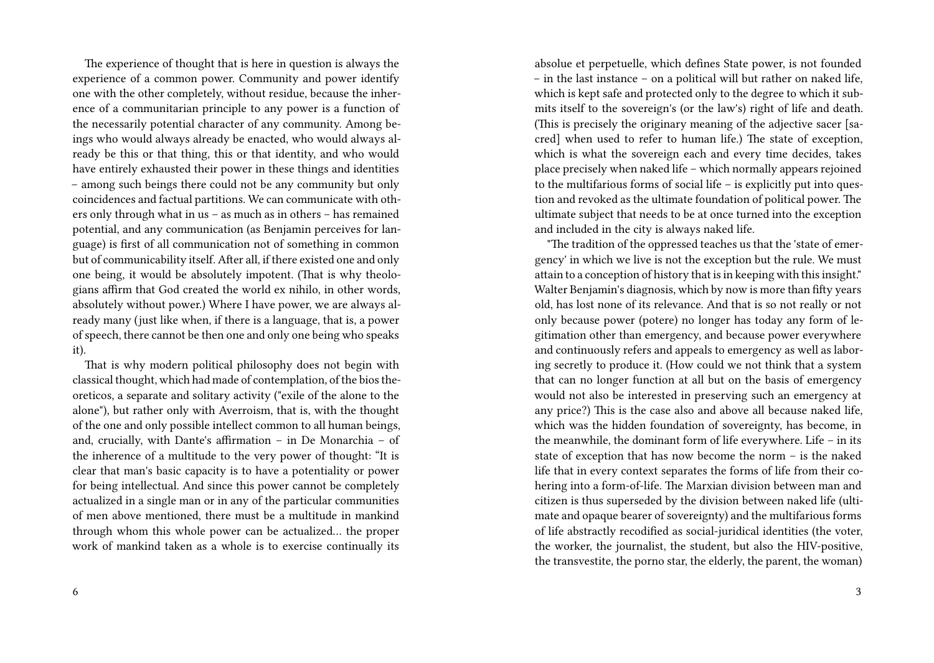The experience of thought that is here in question is always the experience of a common power. Community and power identify one with the other completely, without residue, because the inherence of a communitarian principle to any power is a function of the necessarily potential character of any community. Among beings who would always already be enacted, who would always already be this or that thing, this or that identity, and who would have entirely exhausted their power in these things and identities – among such beings there could not be any community but only coincidences and factual partitions. We can communicate with others only through what in us – as much as in others – has remained potential, and any communication (as Benjamin perceives for language) is first of all communication not of something in common but of communicability itself. After all, if there existed one and only one being, it would be absolutely impotent. (That is why theologians affirm that God created the world ex nihilo, in other words, absolutely without power.) Where I have power, we are always already many (just like when, if there is a language, that is, a power of speech, there cannot be then one and only one being who speaks it).

That is why modern political philosophy does not begin with classical thought, which had made of contemplation, of the bios theoreticos, a separate and solitary activity ("exile of the alone to the alone"), but rather only with Averroism, that is, with the thought of the one and only possible intellect common to all human beings, and, crucially, with Dante's affirmation – in De Monarchia – of the inherence of a multitude to the very power of thought: "It is clear that man's basic capacity is to have a potentiality or power for being intellectual. And since this power cannot be completely actualized in a single man or in any of the particular communities of men above mentioned, there must be a multitude in mankind through whom this whole power can be actualized… the proper work of mankind taken as a whole is to exercise continually its

absolue et perpetuelle, which defines State power, is not founded – in the last instance – on a political will but rather on naked life, which is kept safe and protected only to the degree to which it submits itself to the sovereign's (or the law's) right of life and death. (This is precisely the originary meaning of the adjective sacer [sacred] when used to refer to human life.) The state of exception, which is what the sovereign each and every time decides, takes place precisely when naked life – which normally appears rejoined to the multifarious forms of social life – is explicitly put into question and revoked as the ultimate foundation of political power. The ultimate subject that needs to be at once turned into the exception and included in the city is always naked life.

"The tradition of the oppressed teaches us that the 'state of emergency' in which we live is not the exception but the rule. We must attain to a conception of history that is in keeping with this insight." Walter Benjamin's diagnosis, which by now is more than fifty years old, has lost none of its relevance. And that is so not really or not only because power (potere) no longer has today any form of legitimation other than emergency, and because power everywhere and continuously refers and appeals to emergency as well as laboring secretly to produce it. (How could we not think that a system that can no longer function at all but on the basis of emergency would not also be interested in preserving such an emergency at any price?) This is the case also and above all because naked life, which was the hidden foundation of sovereignty, has become, in the meanwhile, the dominant form of life everywhere. Life – in its state of exception that has now become the norm – is the naked life that in every context separates the forms of life from their cohering into a form-of-life. The Marxian division between man and citizen is thus superseded by the division between naked life (ultimate and opaque bearer of sovereignty) and the multifarious forms of life abstractly recodified as social-juridical identities (the voter, the worker, the journalist, the student, but also the HIV-positive, the transvestite, the porno star, the elderly, the parent, the woman)